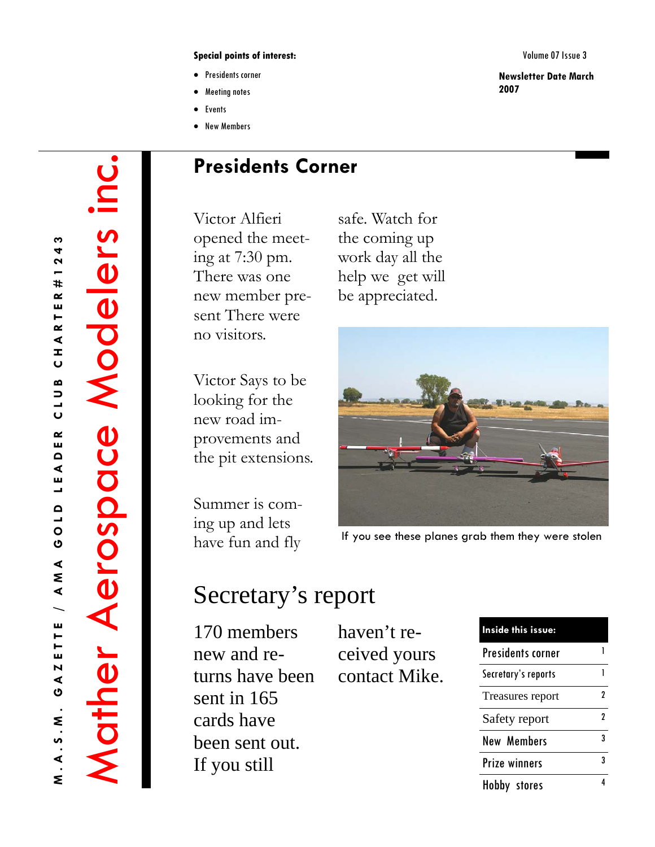#### **Special points of interest:**

- Presidents corner
- Meeting notes
- Events
- New Members

Mather Aerospace Modelers inc.

**Idiner Aerospace Modelers Inc** 

Victor Alfieri opened the meeting at 7:30 pm. There was one new member pre-**Presidents Corner** 

Victor Says to be looking for the new road improvements and the pit extensions.

sent There were

no visitors.

Summer is coming up and lets have fun and fly

safe. Watch for the coming up work day all the help we get will be appreciated.



If you see these planes grab them they were stolen

# Secretary's report

170 members new and returns have been sent in 165 cards have been sent out. If you still

haven't received yours contact Mike.

| Inside this issue:       |   |
|--------------------------|---|
| <b>Presidents corner</b> |   |
| Secretary's reports      |   |
| Treasures report         | 2 |
| Safety report            | 2 |
| <b>New Members</b>       | 3 |
| <b>Prize winners</b>     | 3 |
| Hobby stores             |   |

**Newsletter Date March 2007**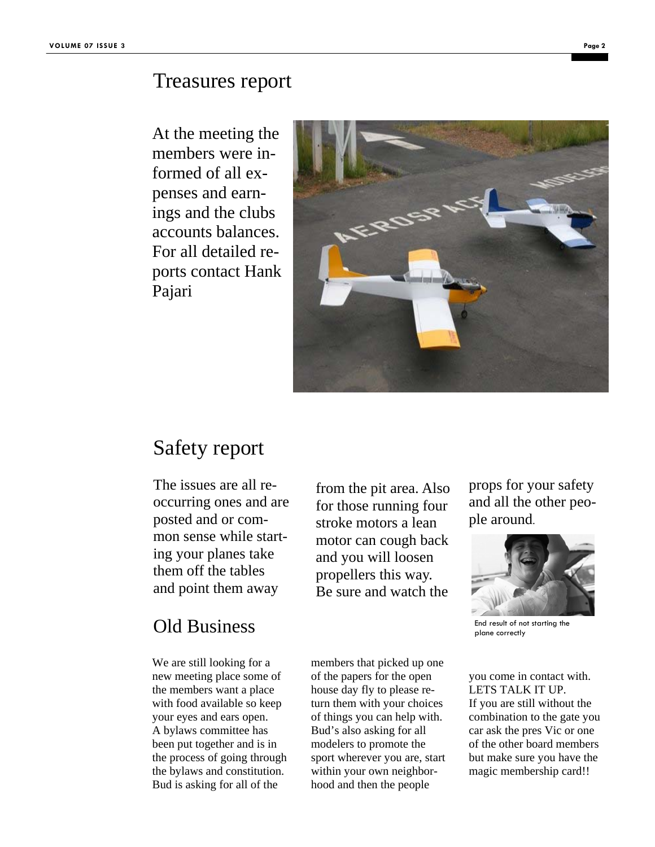#### Treasures report

At the meeting the members were informed of all expenses and earnings and the clubs accounts balances. For all detailed reports contact Hank Pajari



#### Safety report

The issues are all reoccurring ones and are posted and or common sense while starting your planes take them off the tables and point them away

#### Old Business

We are still looking for a new meeting place some of the members want a place with food available so keep your eyes and ears open. A bylaws committee has been put together and is in the process of going through the bylaws and constitution. Bud is asking for all of the

from the pit area. Also for those running four stroke motors a lean motor can cough back and you will loosen propellers this way. Be sure and watch the

members that picked up one of the papers for the open house day fly to please return them with your choices of things you can help with. Bud's also asking for all modelers to promote the sport wherever you are, start within your own neighborhood and then the people

props for your safety and all the other people around.



End result of not starting the plane correctly

you come in contact with. LETS TALK IT UP. If you are still without the combination to the gate you car ask the pres Vic or one of the other board members but make sure you have the magic membership card!!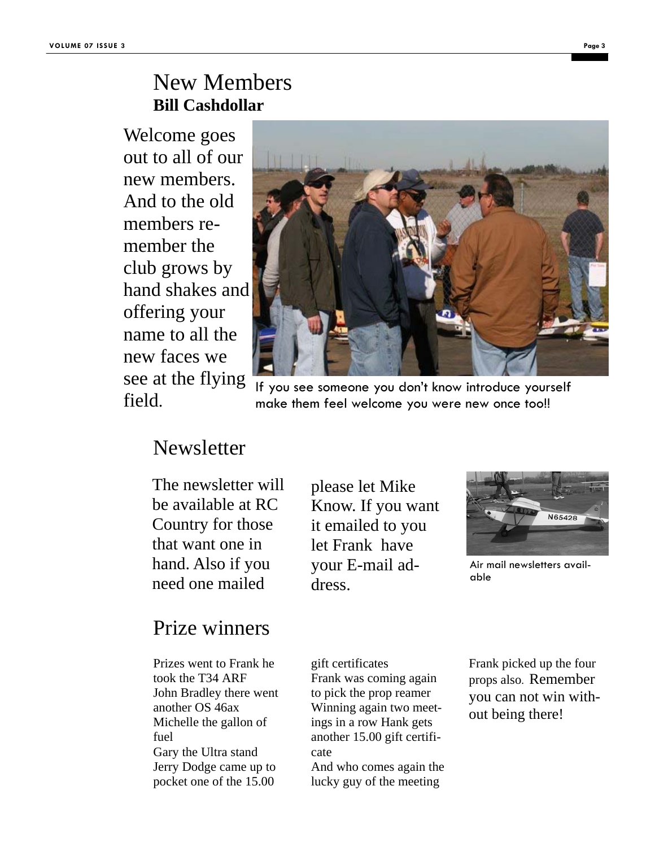## New Members **Bill Cashdollar**

Welcome goes out to all of our new members. And to the old members remember the club grows by hand shakes and offering your name to all the new faces we see at the flying field.



If you see someone you don't know introduce yourself make them feel welcome you were new once too!!

## **Newsletter**

The newsletter will be available at RC Country for those that want one in hand. Also if you need one mailed

please let Mike Know. If you want it emailed to you let Frank have your E-mail address.



Air mail newsletters available

#### Prize winners

Prizes went to Frank he took the T34 ARF John Bradley there went another OS 46ax Michelle the gallon of fuel Gary the Ultra stand Jerry Dodge came up to pocket one of the 15.00

gift certificates Frank was coming again to pick the prop reamer Winning again two meetings in a row Hank gets another 15.00 gift certificate And who comes again the lucky guy of the meeting

Frank picked up the four props also. Remember you can not win without being there!